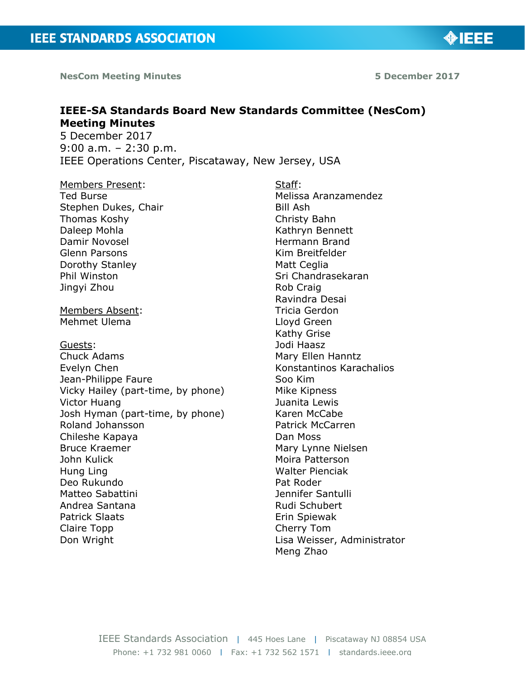**NesCom Meeting Minutes 5 December 2017**

◈IEEE

# **IEEE-SA Standards Board New Standards Committee (NesCom) Meeting Minutes**

5 December 2017 9:00 a.m. – 2:30 p.m. IEEE Operations Center, Piscataway, New Jersey, USA

## Members Present:

Ted Burse Stephen Dukes, Chair Thomas Koshy Daleep Mohla Damir Novosel Glenn Parsons Dorothy Stanley Phil Winston Jingyi Zhou

Members Absent: Mehmet Ulema

Guests:

Chuck Adams Evelyn Chen Jean-Philippe Faure Vicky Hailey (part-time, by phone) Victor Huang Josh Hyman (part-time, by phone) Roland Johansson Chileshe Kapaya Bruce Kraemer John Kulick Hung Ling Deo Rukundo Matteo Sabattini Andrea Santana Patrick Slaats Claire Topp Don Wright

Staff: Melissa Aranzamendez Bill Ash Christy Bahn Kathryn Bennett Hermann Brand Kim Breitfelder Matt Ceglia Sri Chandrasekaran Rob Craig Ravindra Desai Tricia Gerdon Lloyd Green Kathy Grise Jodi Haasz Mary Ellen Hanntz Konstantinos Karachalios Soo Kim Mike Kipness Juanita Lewis Karen McCabe Patrick McCarren Dan Moss Mary Lynne Nielsen Moira Patterson Walter Pienciak Pat Roder Jennifer Santulli Rudi Schubert Erin Spiewak Cherry Tom Lisa Weisser, Administrator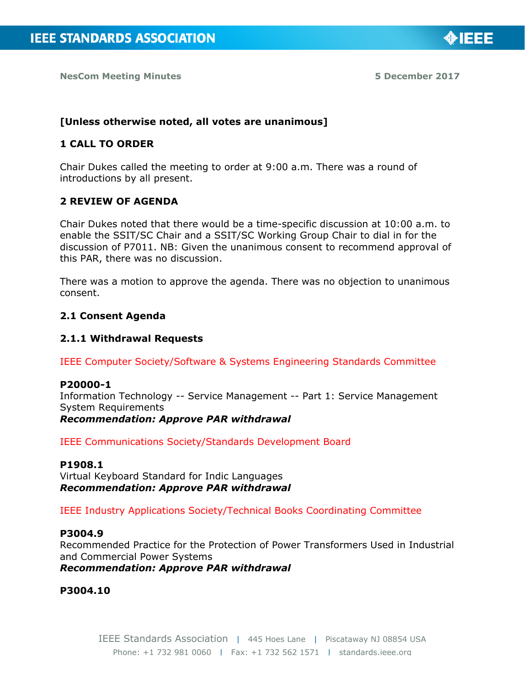

◈IEEE

#### **[Unless otherwise noted, all votes are unanimous]**

#### **1 CALL TO ORDER**

Chair Dukes called the meeting to order at 9:00 a.m. There was a round of introductions by all present.

#### **2 REVIEW OF AGENDA**

Chair Dukes noted that there would be a time-specific discussion at 10:00 a.m. to enable the SSIT/SC Chair and a SSIT/SC Working Group Chair to dial in for the discussion of P7011. NB: Given the unanimous consent to recommend approval of this PAR, there was no discussion.

There was a motion to approve the agenda. There was no objection to unanimous consent.

#### **2.1 Consent Agenda**

#### **2.1.1 Withdrawal Requests**

IEEE Computer Society/Software & Systems Engineering Standards Committee

#### **P20000-1**

Information Technology -- Service Management -- Part 1: Service Management System Requirements

*Recommendation: Approve PAR withdrawal*

IEEE Communications Society/Standards Development Board

#### **P1908.1**

Virtual Keyboard Standard for Indic Languages *Recommendation: Approve PAR withdrawal*

IEEE Industry Applications Society/Technical Books Coordinating Committee

## **P3004.9**

Recommended Practice for the Protection of Power Transformers Used in Industrial and Commercial Power Systems *Recommendation: Approve PAR withdrawal*

**P3004.10**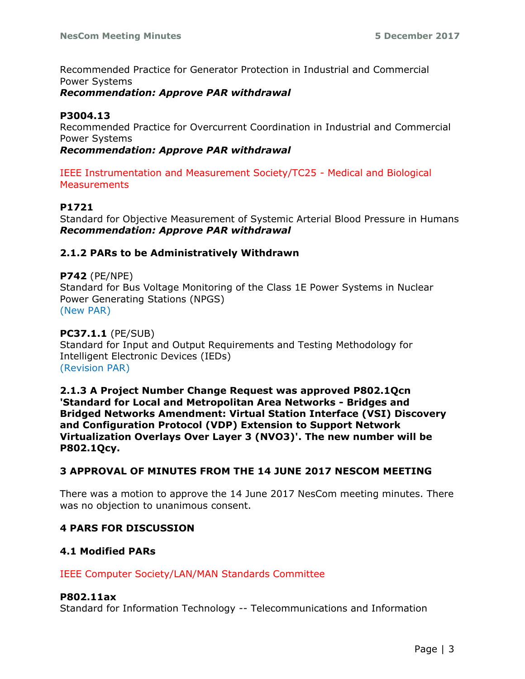Recommended Practice for Generator Protection in Industrial and Commercial Power Systems

*Recommendation: Approve PAR withdrawal*

# **P3004.13**

Recommended Practice for Overcurrent Coordination in Industrial and Commercial Power Systems

*Recommendation: Approve PAR withdrawal*

IEEE Instrumentation and Measurement Society/TC25 - Medical and Biological **Measurements** 

# **P1721**

Standard for Objective Measurement of Systemic Arterial Blood Pressure in Humans *Recommendation: Approve PAR withdrawal*

## **2.1.2 PARs to be Administratively Withdrawn**

**P742** (PE/NPE) Standard for Bus Voltage Monitoring of the Class 1E Power Systems in Nuclear Power Generating Stations (NPGS) (New PAR)

**PC37.1.1** (PE/SUB) Standard for Input and Output Requirements and Testing Methodology for Intelligent Electronic Devices (IEDs) (Revision PAR)

**2.1.3 A Project Number Change Request was approved P802.1Qcn 'Standard for Local and Metropolitan Area Networks - Bridges and Bridged Networks Amendment: Virtual Station Interface (VSI) Discovery and Configuration Protocol (VDP) Extension to Support Network Virtualization Overlays Over Layer 3 (NVO3)'. The new number will be P802.1Qcy.**

## **3 APPROVAL OF MINUTES FROM THE 14 JUNE 2017 NESCOM MEETING**

There was a motion to approve the 14 June 2017 NesCom meeting minutes. There was no objection to unanimous consent.

# **4 PARS FOR DISCUSSION**

## **4.1 Modified PARs**

IEEE Computer Society/LAN/MAN Standards Committee

#### **P802.11ax**

Standard for Information Technology -- Telecommunications and Information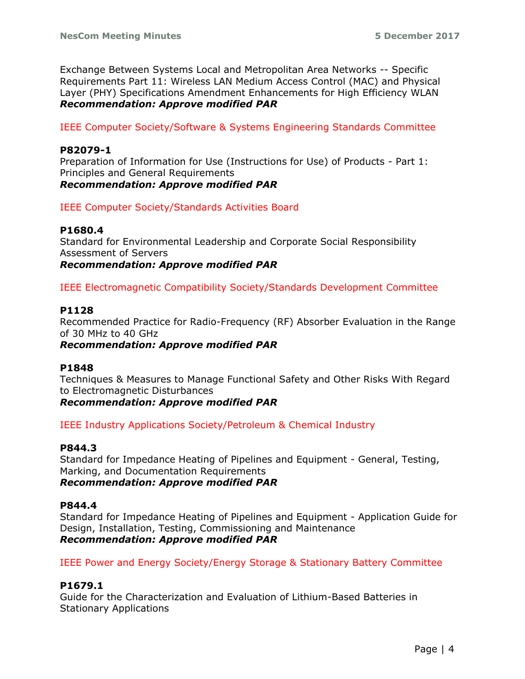Exchange Between Systems Local and Metropolitan Area Networks -- Specific Requirements Part 11: Wireless LAN Medium Access Control (MAC) and Physical Layer (PHY) Specifications Amendment Enhancements for High Efficiency WLAN *Recommendation: Approve modified PAR*

IEEE Computer Society/Software & Systems Engineering Standards Committee

## **P82079-1**

Preparation of Information for Use (Instructions for Use) of Products - Part 1: Principles and General Requirements *Recommendation: Approve modified PAR*

IEEE Computer Society/Standards Activities Board

## **P1680.4**

Standard for Environmental Leadership and Corporate Social Responsibility Assessment of Servers *Recommendation: Approve modified PAR*

IEEE Electromagnetic Compatibility Society/Standards Development Committee

#### **P1128**

Recommended Practice for Radio-Frequency (RF) Absorber Evaluation in the Range of 30 MHz to 40 GHz

#### *Recommendation: Approve modified PAR*

#### **P1848**

Techniques & Measures to Manage Functional Safety and Other Risks With Regard to Electromagnetic Disturbances

*Recommendation: Approve modified PAR*

IEEE Industry Applications Society/Petroleum & Chemical Industry

## **P844.3**

Standard for Impedance Heating of Pipelines and Equipment - General, Testing, Marking, and Documentation Requirements *Recommendation: Approve modified PAR*

## **P844.4**

Standard for Impedance Heating of Pipelines and Equipment - Application Guide for Design, Installation, Testing, Commissioning and Maintenance *Recommendation: Approve modified PAR*

IEEE Power and Energy Society/Energy Storage & Stationary Battery Committee

# **P1679.1**

Guide for the Characterization and Evaluation of Lithium-Based Batteries in Stationary Applications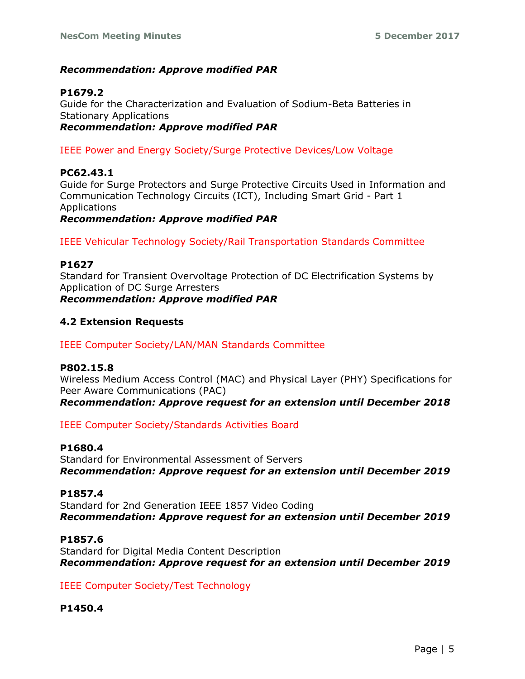## *Recommendation: Approve modified PAR*

# **P1679.2**

Guide for the Characterization and Evaluation of Sodium-Beta Batteries in Stationary Applications *Recommendation: Approve modified PAR*

IEEE Power and Energy Society/Surge Protective Devices/Low Voltage

## **PC62.43.1**

Guide for Surge Protectors and Surge Protective Circuits Used in Information and Communication Technology Circuits (ICT), Including Smart Grid - Part 1 Applications

*Recommendation: Approve modified PAR*

IEEE Vehicular Technology Society/Rail Transportation Standards Committee

## **P1627**

Standard for Transient Overvoltage Protection of DC Electrification Systems by Application of DC Surge Arresters *Recommendation: Approve modified PAR*

## **4.2 Extension Requests**

IEEE Computer Society/LAN/MAN Standards Committee

## **P802.15.8**

Wireless Medium Access Control (MAC) and Physical Layer (PHY) Specifications for Peer Aware Communications (PAC) *Recommendation: Approve request for an extension until December 2018*

IEEE Computer Society/Standards Activities Board

## **P1680.4**

Standard for Environmental Assessment of Servers *Recommendation: Approve request for an extension until December 2019*

## **P1857.4**

Standard for 2nd Generation IEEE 1857 Video Coding *Recommendation: Approve request for an extension until December 2019*

## **P1857.6**

Standard for Digital Media Content Description *Recommendation: Approve request for an extension until December 2019*

IEEE Computer Society/Test Technology

# **P1450.4**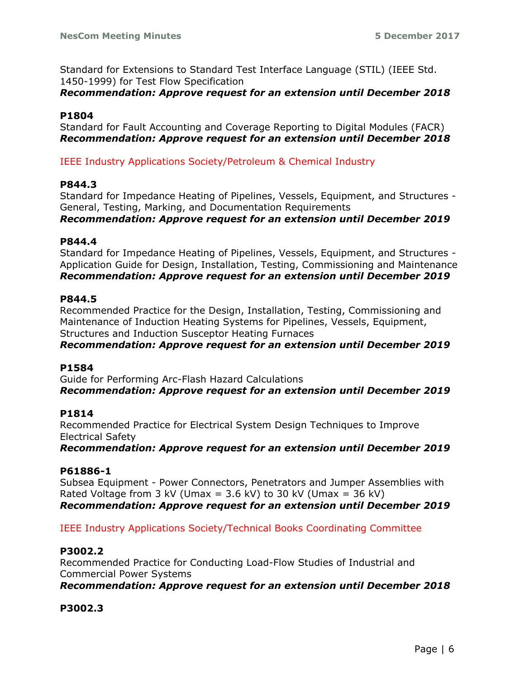Standard for Extensions to Standard Test Interface Language (STIL) (IEEE Std. 1450-1999) for Test Flow Specification

## *Recommendation: Approve request for an extension until December 2018*

## **P1804**

Standard for Fault Accounting and Coverage Reporting to Digital Modules (FACR) *Recommendation: Approve request for an extension until December 2018*

## IEEE Industry Applications Society/Petroleum & Chemical Industry

## **P844.3**

Standard for Impedance Heating of Pipelines, Vessels, Equipment, and Structures - General, Testing, Marking, and Documentation Requirements

*Recommendation: Approve request for an extension until December 2019*

## **P844.4**

Standard for Impedance Heating of Pipelines, Vessels, Equipment, and Structures - Application Guide for Design, Installation, Testing, Commissioning and Maintenance *Recommendation: Approve request for an extension until December 2019*

## **P844.5**

Recommended Practice for the Design, Installation, Testing, Commissioning and Maintenance of Induction Heating Systems for Pipelines, Vessels, Equipment, Structures and Induction Susceptor Heating Furnaces

## *Recommendation: Approve request for an extension until December 2019*

## **P1584**

Guide for Performing Arc-Flash Hazard Calculations *Recommendation: Approve request for an extension until December 2019*

## **P1814**

Recommended Practice for Electrical System Design Techniques to Improve Electrical Safety

*Recommendation: Approve request for an extension until December 2019*

# **P61886-1**

Subsea Equipment - Power Connectors, Penetrators and Jumper Assemblies with Rated Voltage from 3 kV (Umax =  $3.6$  kV) to 30 kV (Umax =  $36$  kV) *Recommendation: Approve request for an extension until December 2019*

IEEE Industry Applications Society/Technical Books Coordinating Committee

# **P3002.2**

Recommended Practice for Conducting Load-Flow Studies of Industrial and Commercial Power Systems

*Recommendation: Approve request for an extension until December 2018*

# **P3002.3**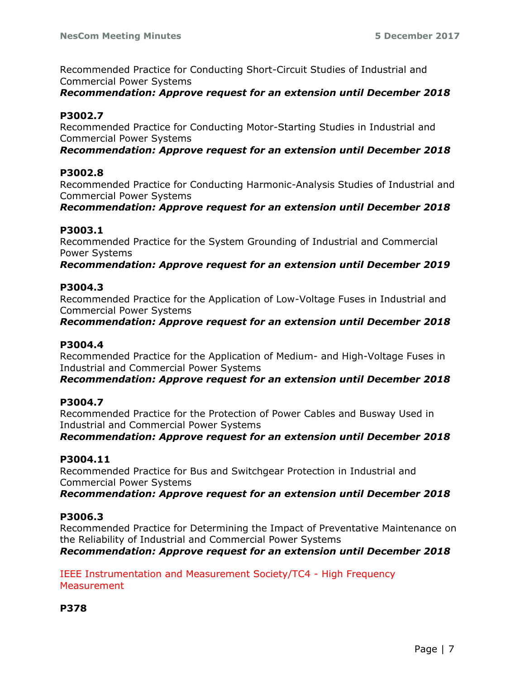Recommended Practice for Conducting Short-Circuit Studies of Industrial and Commercial Power Systems

*Recommendation: Approve request for an extension until December 2018*

# **P3002.7**

Recommended Practice for Conducting Motor-Starting Studies in Industrial and Commercial Power Systems

*Recommendation: Approve request for an extension until December 2018*

# **P3002.8**

Recommended Practice for Conducting Harmonic-Analysis Studies of Industrial and Commercial Power Systems

*Recommendation: Approve request for an extension until December 2018*

# **P3003.1**

Recommended Practice for the System Grounding of Industrial and Commercial Power Systems

*Recommendation: Approve request for an extension until December 2019*

# **P3004.3**

Recommended Practice for the Application of Low-Voltage Fuses in Industrial and Commercial Power Systems

*Recommendation: Approve request for an extension until December 2018*

# **P3004.4**

Recommended Practice for the Application of Medium- and High-Voltage Fuses in Industrial and Commercial Power Systems

*Recommendation: Approve request for an extension until December 2018*

# **P3004.7**

Recommended Practice for the Protection of Power Cables and Busway Used in Industrial and Commercial Power Systems

*Recommendation: Approve request for an extension until December 2018*

# **P3004.11**

Recommended Practice for Bus and Switchgear Protection in Industrial and Commercial Power Systems

*Recommendation: Approve request for an extension until December 2018*

# **P3006.3**

Recommended Practice for Determining the Impact of Preventative Maintenance on the Reliability of Industrial and Commercial Power Systems

*Recommendation: Approve request for an extension until December 2018*

IEEE Instrumentation and Measurement Society/TC4 - High Frequency **Measurement** 

**P378**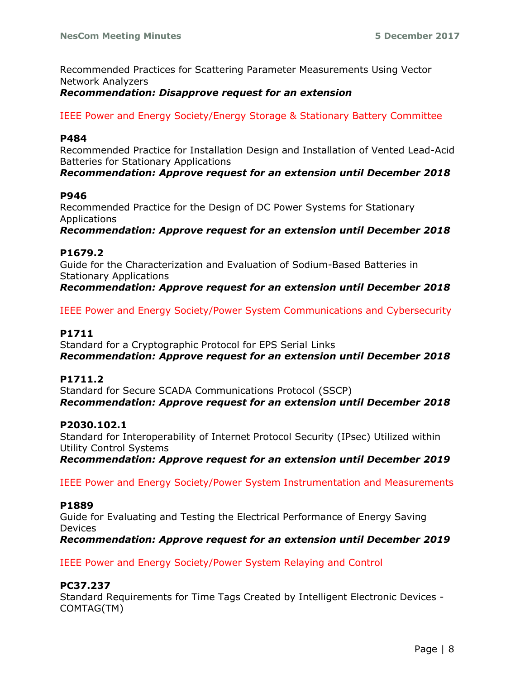Recommended Practices for Scattering Parameter Measurements Using Vector Network Analyzers

#### *Recommendation: Disapprove request for an extension*

IEEE Power and Energy Society/Energy Storage & Stationary Battery Committee

#### **P484**

Recommended Practice for Installation Design and Installation of Vented Lead-Acid Batteries for Stationary Applications *Recommendation: Approve request for an extension until December 2018*

#### **P946**

Recommended Practice for the Design of DC Power Systems for Stationary Applications *Recommendation: Approve request for an extension until December 2018*

#### **P1679.2**

Guide for the Characterization and Evaluation of Sodium-Based Batteries in Stationary Applications *Recommendation: Approve request for an extension until December 2018*

IEEE Power and Energy Society/Power System Communications and Cybersecurity

## **P1711**

Standard for a Cryptographic Protocol for EPS Serial Links *Recommendation: Approve request for an extension until December 2018*

#### **P1711.2**

Standard for Secure SCADA Communications Protocol (SSCP) *Recommendation: Approve request for an extension until December 2018*

#### **P2030.102.1**

Standard for Interoperability of Internet Protocol Security (IPsec) Utilized within Utility Control Systems *Recommendation: Approve request for an extension until December 2019*

IEEE Power and Energy Society/Power System Instrumentation and Measurements

#### **P1889**

Guide for Evaluating and Testing the Electrical Performance of Energy Saving **Devices** 

*Recommendation: Approve request for an extension until December 2019*

IEEE Power and Energy Society/Power System Relaying and Control

## **PC37.237**

Standard Requirements for Time Tags Created by Intelligent Electronic Devices - COMTAG(TM)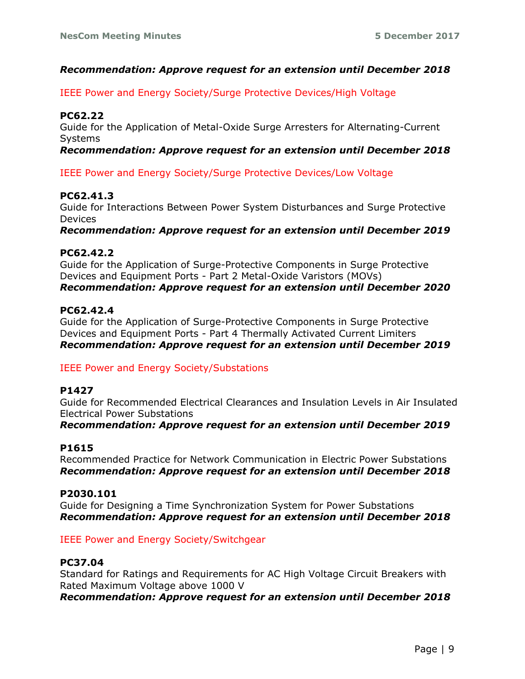## *Recommendation: Approve request for an extension until December 2018*

IEEE Power and Energy Society/Surge Protective Devices/High Voltage

## **PC62.22**

Guide for the Application of Metal-Oxide Surge Arresters for Alternating-Current **Systems** 

## *Recommendation: Approve request for an extension until December 2018*

IEEE Power and Energy Society/Surge Protective Devices/Low Voltage

## **PC62.41.3**

Guide for Interactions Between Power System Disturbances and Surge Protective Devices

*Recommendation: Approve request for an extension until December 2019*

## **PC62.42.2**

Guide for the Application of Surge-Protective Components in Surge Protective Devices and Equipment Ports - Part 2 Metal-Oxide Varistors (MOVs) *Recommendation: Approve request for an extension until December 2020*

## **PC62.42.4**

Guide for the Application of Surge-Protective Components in Surge Protective Devices and Equipment Ports - Part 4 Thermally Activated Current Limiters *Recommendation: Approve request for an extension until December 2019*

## IEEE Power and Energy Society/Substations

## **P1427**

Guide for Recommended Electrical Clearances and Insulation Levels in Air Insulated Electrical Power Substations

*Recommendation: Approve request for an extension until December 2019*

## **P1615**

Recommended Practice for Network Communication in Electric Power Substations *Recommendation: Approve request for an extension until December 2018*

#### **P2030.101**

Guide for Designing a Time Synchronization System for Power Substations *Recommendation: Approve request for an extension until December 2018*

#### IEEE Power and Energy Society/Switchgear

#### **PC37.04**

Standard for Ratings and Requirements for AC High Voltage Circuit Breakers with Rated Maximum Voltage above 1000 V *Recommendation: Approve request for an extension until December 2018*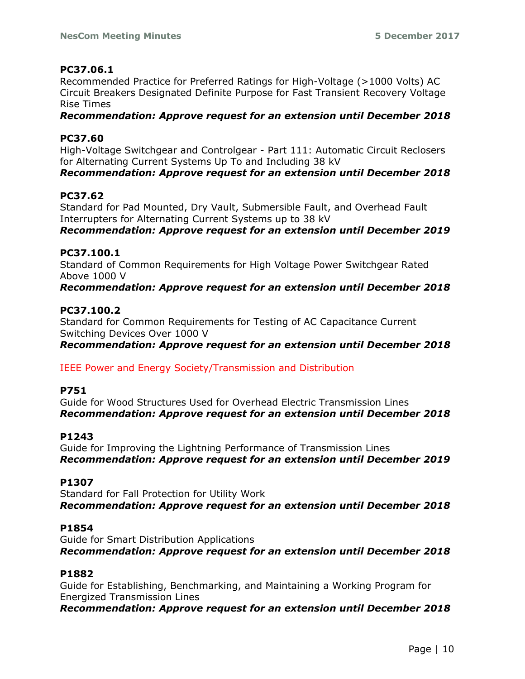## **PC37.06.1**

Recommended Practice for Preferred Ratings for High-Voltage (>1000 Volts) AC Circuit Breakers Designated Definite Purpose for Fast Transient Recovery Voltage Rise Times

*Recommendation: Approve request for an extension until December 2018*

## **PC37.60**

High-Voltage Switchgear and Controlgear - Part 111: Automatic Circuit Reclosers for Alternating Current Systems Up To and Including 38 kV *Recommendation: Approve request for an extension until December 2018*

## **PC37.62**

Standard for Pad Mounted, Dry Vault, Submersible Fault, and Overhead Fault Interrupters for Alternating Current Systems up to 38 kV *Recommendation: Approve request for an extension until December 2019*

## **PC37.100.1**

Standard of Common Requirements for High Voltage Power Switchgear Rated Above 1000 V

*Recommendation: Approve request for an extension until December 2018*

## **PC37.100.2**

Standard for Common Requirements for Testing of AC Capacitance Current Switching Devices Over 1000 V

*Recommendation: Approve request for an extension until December 2018*

IEEE Power and Energy Society/Transmission and Distribution

## **P751**

Guide for Wood Structures Used for Overhead Electric Transmission Lines *Recommendation: Approve request for an extension until December 2018*

## **P1243**

Guide for Improving the Lightning Performance of Transmission Lines *Recommendation: Approve request for an extension until December 2019*

## **P1307**

Standard for Fall Protection for Utility Work *Recommendation: Approve request for an extension until December 2018*

## **P1854**

Guide for Smart Distribution Applications *Recommendation: Approve request for an extension until December 2018*

## **P1882**

Guide for Establishing, Benchmarking, and Maintaining a Working Program for Energized Transmission Lines

*Recommendation: Approve request for an extension until December 2018*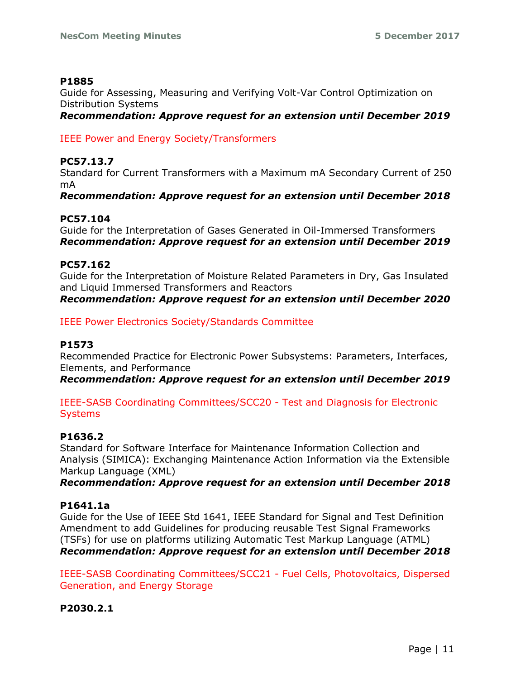## **P1885**

Guide for Assessing, Measuring and Verifying Volt-Var Control Optimization on Distribution Systems

*Recommendation: Approve request for an extension until December 2019*

## IEEE Power and Energy Society/Transformers

## **PC57.13.7**

Standard for Current Transformers with a Maximum mA Secondary Current of 250 mA

*Recommendation: Approve request for an extension until December 2018*

## **PC57.104**

Guide for the Interpretation of Gases Generated in Oil-Immersed Transformers *Recommendation: Approve request for an extension until December 2019*

## **PC57.162**

Guide for the Interpretation of Moisture Related Parameters in Dry, Gas Insulated and Liquid Immersed Transformers and Reactors *Recommendation: Approve request for an extension until December 2020*

IEEE Power Electronics Society/Standards Committee

# **P1573**

Recommended Practice for Electronic Power Subsystems: Parameters, Interfaces, Elements, and Performance

*Recommendation: Approve request for an extension until December 2019*

IEEE-SASB Coordinating Committees/SCC20 - Test and Diagnosis for Electronic **Systems** 

# **P1636.2**

Standard for Software Interface for Maintenance Information Collection and Analysis (SIMICA): Exchanging Maintenance Action Information via the Extensible Markup Language (XML)

*Recommendation: Approve request for an extension until December 2018*

# **P1641.1a**

Guide for the Use of IEEE Std 1641, IEEE Standard for Signal and Test Definition Amendment to add Guidelines for producing reusable Test Signal Frameworks (TSFs) for use on platforms utilizing Automatic Test Markup Language (ATML) *Recommendation: Approve request for an extension until December 2018*

IEEE-SASB Coordinating Committees/SCC21 - Fuel Cells, Photovoltaics, Dispersed Generation, and Energy Storage

# **P2030.2.1**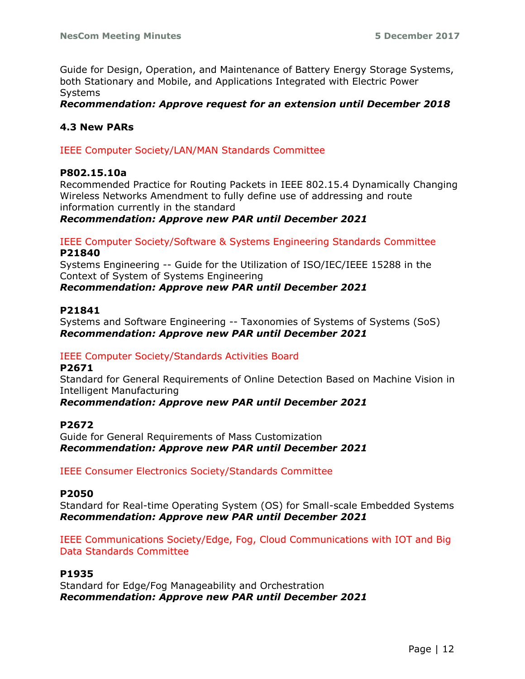Guide for Design, Operation, and Maintenance of Battery Energy Storage Systems, both Stationary and Mobile, and Applications Integrated with Electric Power Systems

*Recommendation: Approve request for an extension until December 2018*

## **4.3 New PARs**

IEEE Computer Society/LAN/MAN Standards Committee

#### **P802.15.10a**

Recommended Practice for Routing Packets in IEEE 802.15.4 Dynamically Changing Wireless Networks Amendment to fully define use of addressing and route information currently in the standard

*Recommendation: Approve new PAR until December 2021*

IEEE Computer Society/Software & Systems Engineering Standards Committee **P21840**

Systems Engineering -- Guide for the Utilization of ISO/IEC/IEEE 15288 in the Context of System of Systems Engineering

#### *Recommendation: Approve new PAR until December 2021*

#### **P21841**

Systems and Software Engineering -- Taxonomies of Systems of Systems (SoS) *Recommendation: Approve new PAR until December 2021*

## IEEE Computer Society/Standards Activities Board

#### **P2671**

Standard for General Requirements of Online Detection Based on Machine Vision in Intelligent Manufacturing

*Recommendation: Approve new PAR until December 2021*

#### **P2672**

Guide for General Requirements of Mass Customization *Recommendation: Approve new PAR until December 2021*

IEEE Consumer Electronics Society/Standards Committee

#### **P2050**

Standard for Real-time Operating System (OS) for Small-scale Embedded Systems *Recommendation: Approve new PAR until December 2021*

IEEE Communications Society/Edge, Fog, Cloud Communications with IOT and Big Data Standards Committee

#### **P1935**

Standard for Edge/Fog Manageability and Orchestration *Recommendation: Approve new PAR until December 2021*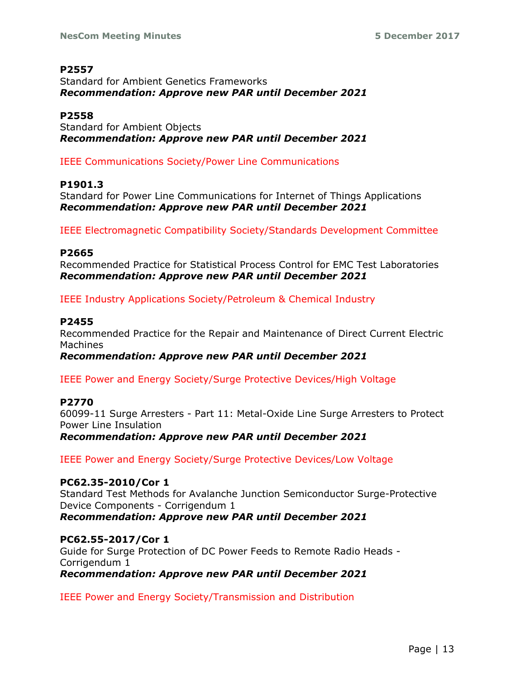## **P2557**

Standard for Ambient Genetics Frameworks *Recommendation: Approve new PAR until December 2021*

## **P2558**

Standard for Ambient Objects *Recommendation: Approve new PAR until December 2021*

IEEE Communications Society/Power Line Communications

# **P1901.3**

Standard for Power Line Communications for Internet of Things Applications *Recommendation: Approve new PAR until December 2021*

IEEE Electromagnetic Compatibility Society/Standards Development Committee

## **P2665**

Recommended Practice for Statistical Process Control for EMC Test Laboratories *Recommendation: Approve new PAR until December 2021*

IEEE Industry Applications Society/Petroleum & Chemical Industry

## **P2455**

Recommended Practice for the Repair and Maintenance of Direct Current Electric Machines

*Recommendation: Approve new PAR until December 2021*

IEEE Power and Energy Society/Surge Protective Devices/High Voltage

# **P2770**

60099-11 Surge Arresters - Part 11: Metal-Oxide Line Surge Arresters to Protect Power Line Insulation *Recommendation: Approve new PAR until December 2021*

IEEE Power and Energy Society/Surge Protective Devices/Low Voltage

**PC62.35-2010/Cor 1** Standard Test Methods for Avalanche Junction Semiconductor Surge-Protective Device Components - Corrigendum 1 *Recommendation: Approve new PAR until December 2021*

## **PC62.55-2017/Cor 1**

Guide for Surge Protection of DC Power Feeds to Remote Radio Heads - Corrigendum 1 *Recommendation: Approve new PAR until December 2021*

IEEE Power and Energy Society/Transmission and Distribution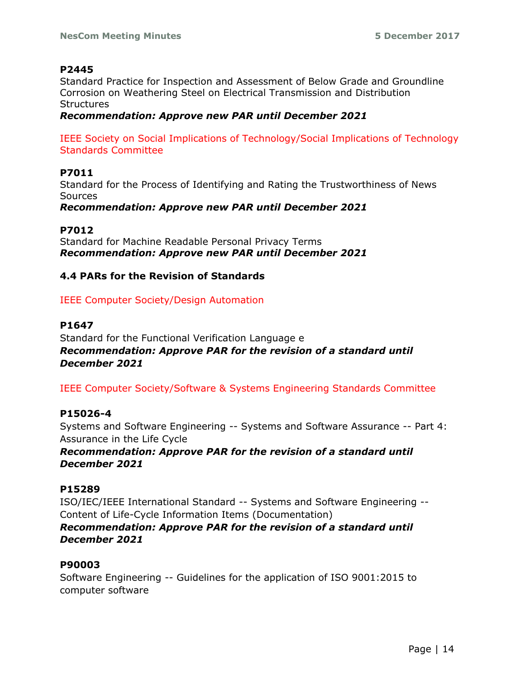## **P2445**

Standard Practice for Inspection and Assessment of Below Grade and Groundline Corrosion on Weathering Steel on Electrical Transmission and Distribution **Structures** 

*Recommendation: Approve new PAR until December 2021*

IEEE Society on Social Implications of Technology/Social Implications of Technology Standards Committee

# **P7011**

Standard for the Process of Identifying and Rating the Trustworthiness of News **Sources** 

*Recommendation: Approve new PAR until December 2021*

## **P7012**

Standard for Machine Readable Personal Privacy Terms *Recommendation: Approve new PAR until December 2021*

# **4.4 PARs for the Revision of Standards**

IEEE Computer Society/Design Automation

## **P1647**

Standard for the Functional Verification Language e *Recommendation: Approve PAR for the revision of a standard until December 2021*

IEEE Computer Society/Software & Systems Engineering Standards Committee

## **P15026-4**

Systems and Software Engineering -- Systems and Software Assurance -- Part 4: Assurance in the Life Cycle

*Recommendation: Approve PAR for the revision of a standard until December 2021*

# **P15289**

ISO/IEC/IEEE International Standard -- Systems and Software Engineering -- Content of Life-Cycle Information Items (Documentation) *Recommendation: Approve PAR for the revision of a standard until December 2021*

## **P90003**

Software Engineering -- Guidelines for the application of ISO 9001:2015 to computer software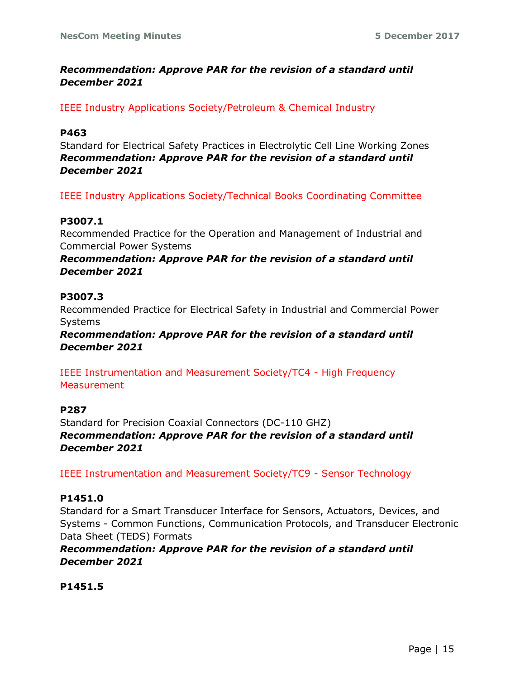# *Recommendation: Approve PAR for the revision of a standard until December 2021*

## IEEE Industry Applications Society/Petroleum & Chemical Industry

## **P463**

Standard for Electrical Safety Practices in Electrolytic Cell Line Working Zones *Recommendation: Approve PAR for the revision of a standard until December 2021*

IEEE Industry Applications Society/Technical Books Coordinating Committee

## **P3007.1**

Recommended Practice for the Operation and Management of Industrial and Commercial Power Systems

*Recommendation: Approve PAR for the revision of a standard until December 2021*

## **P3007.3**

Recommended Practice for Electrical Safety in Industrial and Commercial Power Systems

*Recommendation: Approve PAR for the revision of a standard until December 2021*

IEEE Instrumentation and Measurement Society/TC4 - High Frequency **Measurement** 

## **P287**

Standard for Precision Coaxial Connectors (DC-110 GHZ) *Recommendation: Approve PAR for the revision of a standard until December 2021*

IEEE Instrumentation and Measurement Society/TC9 - Sensor Technology

## **P1451.0**

Standard for a Smart Transducer Interface for Sensors, Actuators, Devices, and Systems - Common Functions, Communication Protocols, and Transducer Electronic Data Sheet (TEDS) Formats

*Recommendation: Approve PAR for the revision of a standard until December 2021*

**P1451.5**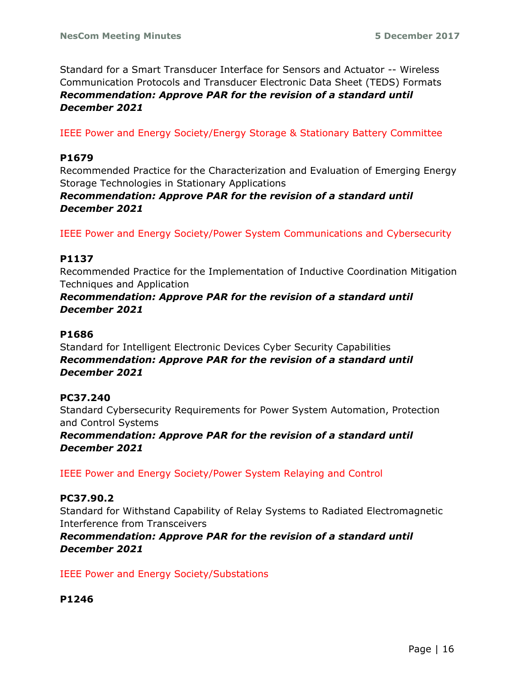Standard for a Smart Transducer Interface for Sensors and Actuator -- Wireless Communication Protocols and Transducer Electronic Data Sheet (TEDS) Formats *Recommendation: Approve PAR for the revision of a standard until December 2021*

IEEE Power and Energy Society/Energy Storage & Stationary Battery Committee

## **P1679**

Recommended Practice for the Characterization and Evaluation of Emerging Energy Storage Technologies in Stationary Applications

# *Recommendation: Approve PAR for the revision of a standard until December 2021*

IEEE Power and Energy Society/Power System Communications and Cybersecurity

# **P1137**

Recommended Practice for the Implementation of Inductive Coordination Mitigation Techniques and Application

## *Recommendation: Approve PAR for the revision of a standard until December 2021*

## **P1686**

Standard for Intelligent Electronic Devices Cyber Security Capabilities *Recommendation: Approve PAR for the revision of a standard until December 2021*

## **PC37.240**

Standard Cybersecurity Requirements for Power System Automation, Protection and Control Systems

*Recommendation: Approve PAR for the revision of a standard until December 2021*

IEEE Power and Energy Society/Power System Relaying and Control

## **PC37.90.2**

Standard for Withstand Capability of Relay Systems to Radiated Electromagnetic Interference from Transceivers

# *Recommendation: Approve PAR for the revision of a standard until December 2021*

IEEE Power and Energy Society/Substations

**P1246**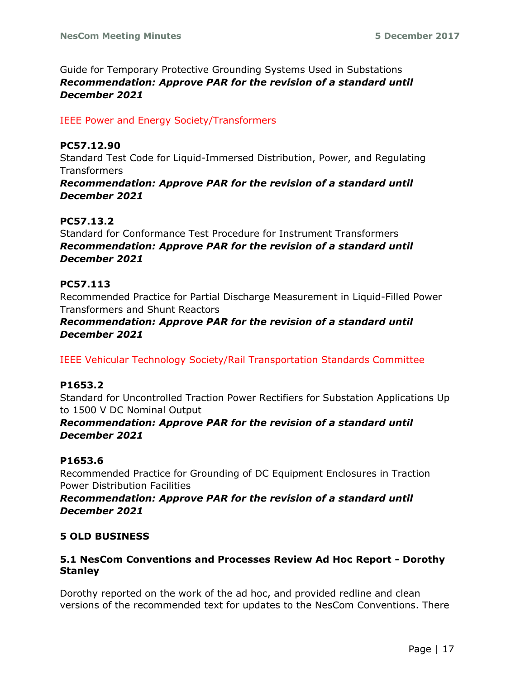Guide for Temporary Protective Grounding Systems Used in Substations *Recommendation: Approve PAR for the revision of a standard until December 2021*

# IEEE Power and Energy Society/Transformers

# **PC57.12.90**

Standard Test Code for Liquid-Immersed Distribution, Power, and Regulating **Transformers** 

*Recommendation: Approve PAR for the revision of a standard until December 2021*

# **PC57.13.2**

Standard for Conformance Test Procedure for Instrument Transformers *Recommendation: Approve PAR for the revision of a standard until December 2021*

# **PC57.113**

Recommended Practice for Partial Discharge Measurement in Liquid-Filled Power Transformers and Shunt Reactors

# *Recommendation: Approve PAR for the revision of a standard until December 2021*

IEEE Vehicular Technology Society/Rail Transportation Standards Committee

# **P1653.2**

Standard for Uncontrolled Traction Power Rectifiers for Substation Applications Up to 1500 V DC Nominal Output

# *Recommendation: Approve PAR for the revision of a standard until December 2021*

# **P1653.6**

Recommended Practice for Grounding of DC Equipment Enclosures in Traction Power Distribution Facilities

## *Recommendation: Approve PAR for the revision of a standard until December 2021*

# **5 OLD BUSINESS**

## **5.1 NesCom Conventions and Processes Review Ad Hoc Report - Dorothy Stanley**

Dorothy reported on the work of the ad hoc, and provided redline and clean versions of the recommended text for updates to the NesCom Conventions. There